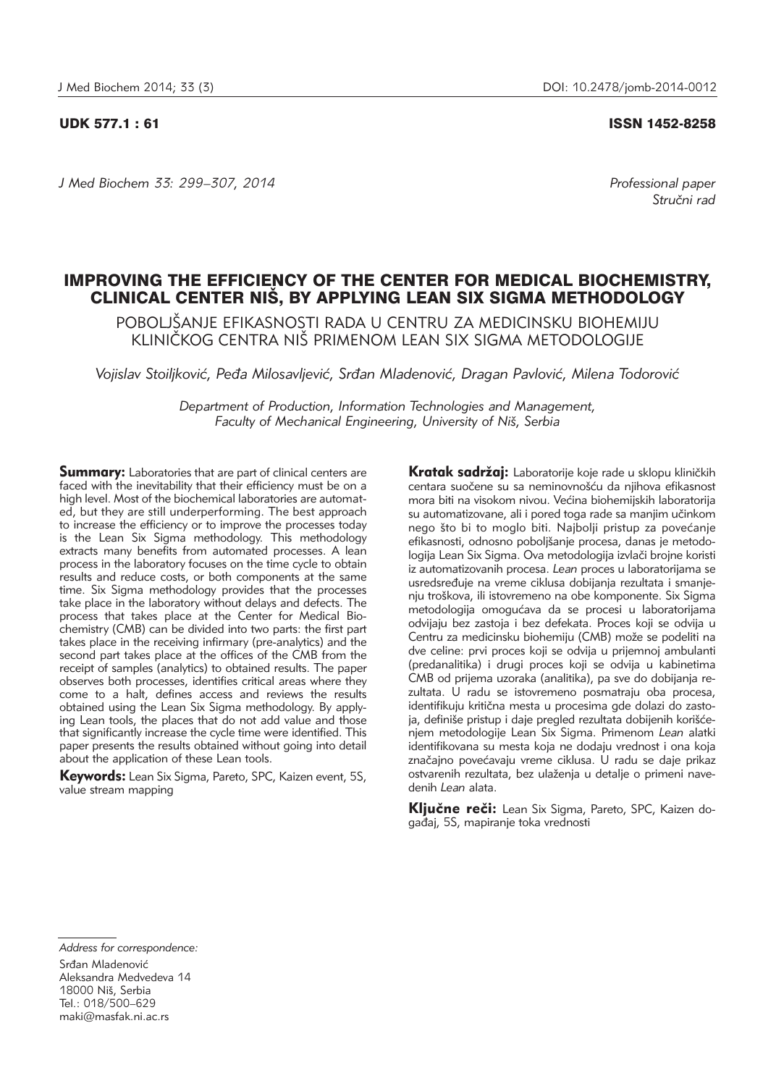*J Med Biochem 33: 299–307, 2014 Professional paper*

#### UDK 577.1 : 61 ISSN 1452-8258

Stručni rad

# IMPROVING THE EFFICIENCY OF THE CENTER FOR MEDICAL BIOCHEMISTRY, CLINICAL CENTER NIŠ, BY APPLYING LEAN SIX SIGMA METHODOLOGY

POBOLJŠANJE EFIKASNOSTI RADA U CENTRU ZA MEDICINSKU BIOHEMIJU KLINIČKOG CENTRA NIŠ PRIMENOM LEAN SIX SIGMA METODOLOGIJE

Vojislav Stoiliković, Peđa Milosavljević, Srđan Mladenović, Dragan Pavlović, Milena Todorović

*Department of Production, Information Technologies and Management, Faculty of Mechanical Engineering, University of Ni{, Serbia*

**Summary:** Laboratories that are part of clinical centers are faced with the inevitability that their efficiency must be on a high level. Most of the biochemical laboratories are automated, but they are still underperforming. The best approach to increase the efficiency or to improve the processes today is the Lean Six Sigma methodology. This methodology extracts many benefits from automated processes. A lean process in the laboratory focuses on the time cycle to obtain results and reduce costs, or both components at the same time. Six Sigma methodology provides that the processes take place in the laboratory without delays and defects. The process that takes place at the Center for Medical Biochemistry (CMB) can be divided into two parts: the first part takes place in the receiving infirmary (pre-analytics) and the second part takes place at the offices of the CMB from the receipt of samples (analytics) to obtained results. The paper observes both processes, identifies critical areas where they come to a halt, defines access and reviews the results obtained using the Lean Six Sigma methodology. By applying Lean tools, the places that do not add value and those that significantly increase the cycle time were identified. This paper presents the results obtained without going into detail about the application of these Lean tools.

Keywords: Lean Six Sigma, Pareto, SPC, Kaizen event, 5S, value stream mapping

Kratak sadržai: Laboratorije koje rade u sklopu kliničkih centara suočene su sa neminovnošću da njihova efikasnost mora biti na visokom nivou. Većina biohemijskih laboratorija su automatizovane, ali i pored toga rade sa manjim učinkom nego što bi to moglo biti. Najbolji pristup za povećanje efikasnosti, odnosno pobolišanje procesa, danas je metodologija Lean Six Sigma. Ova metodologija izvlači brojne koristi iz auto matizovanih procesa. *Lean* proces u laboratorijama se usredsređuje na vreme ciklusa dobijanja rezultata i smanjeniu troškova, ili istovremeno na obe komponente. Six Sigma metodologija omogućava da se procesi u laboratorijama odvijaju bez zastoja i bez defekata. Proces koji se odvija u Centru za medicinsku biohemiju (CMB) može se podeliti na dve celine: prvi proces koji se odvija u prijemnoj ambulanti (predanalitika) i drugi proces koji se odvija u kabinetima CMB od prijema uzoraka (analitika), pa sve do dobijanja rezultata. U radu se istovremeno posmatraju oba procesa, identifikuju kritična mesta u procesima gde dolazi do zastoja, definiše pristup i daje pregled rezultata dobijenih korišćenjem metodo logije Lean Six Sigma. Primenom *Lean* alatki identifikovana su mesta koja ne dodaju vrednost i ona koja značajno povećavaju vreme ciklusa. U radu se daje prikaz ostvarenih rezultata, bez ulaženja u detalje o primeni navedenih *Lean* alata.

Ključne reči: Lean Six Sigma, Pareto, SPC, Kaizen događaj, 5S, mapiranje toka vrednosti

Srđan Mladenović Aleksandra Medvedeva 14 18000 Niš, Serbia Tel.: 018/500–629 maki@masfak.ni.ac.rs

*Address for correspondence:*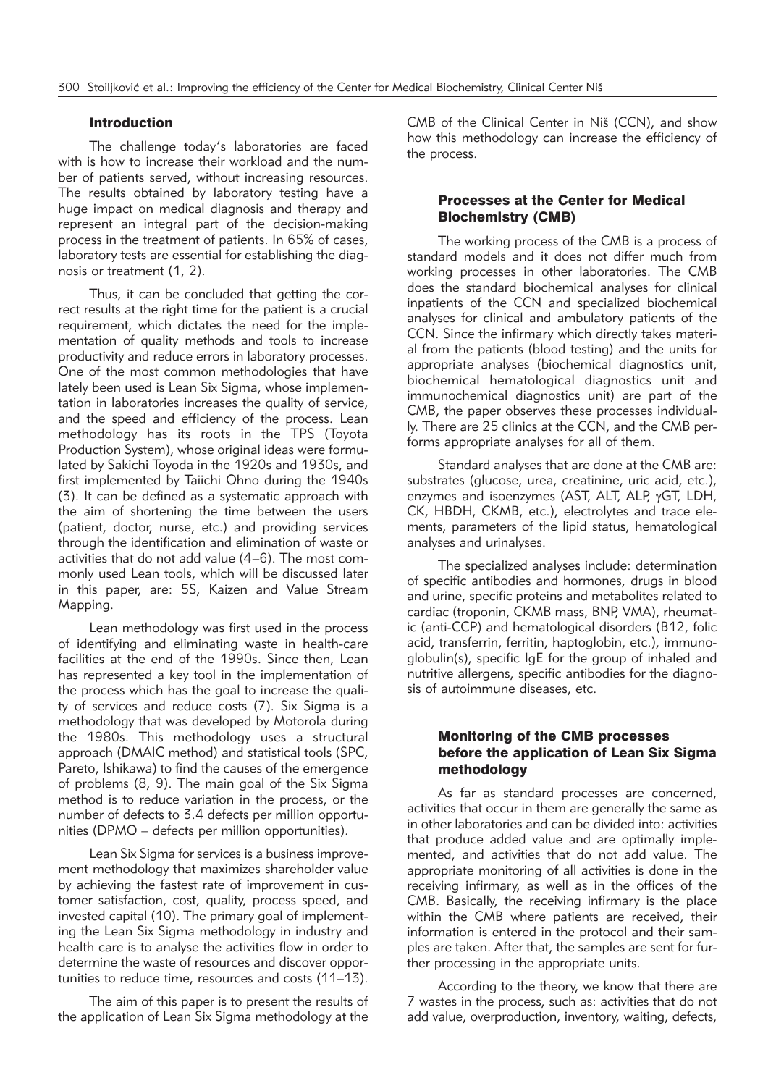#### Introduction

The challenge today's laboratories are faced with is how to increase their workload and the number of patients served, without increasing resources. The results obtained by laboratory testing have a huge impact on medical diagnosis and therapy and represent an integral part of the decision-making process in the treatment of patients. In 65% of cases, laboratory tests are essential for establishing the diagnosis or treatment (1, 2).

Thus, it can be concluded that getting the correct results at the right time for the patient is a crucial requirement, which dictates the need for the implementation of quality methods and tools to increase productivity and reduce errors in laboratory processes. One of the most common methodologies that have lately been used is Lean Six Sigma, whose implementation in laboratories increases the quality of service, and the speed and efficiency of the process. Lean methodology has its roots in the TPS (Toyota Production System), whose original ideas were formulated by Sakichi Toyoda in the 1920s and 1930s, and first implemented by Taiichi Ohno during the 1940s (3). It can be defined as a systematic approach with the aim of shortening the time between the users (patient, doctor, nurse, etc.) and providing services through the identification and elimination of waste or activities that do not add value (4–6). The most commonly used Lean tools, which will be discussed later in this paper, are: 5S, Kaizen and Value Stream Mapping.

Lean methodology was first used in the process of identifying and eliminating waste in health-care facilities at the end of the 1990s. Since then, Lean has represented a key tool in the implementation of the process which has the goal to increase the quality of services and reduce costs (7). Six Sigma is a methodology that was developed by Motorola during the 1980s. This methodology uses a structural approach (DMAIC method) and statistical tools (SPC, Pareto, Ishikawa) to find the causes of the emergence of problems (8, 9). The main goal of the Six Sigma method is to reduce variation in the process, or the number of defects to 3.4 defects per million opportunities (DPMO – defects per million opportunities).

Lean Six Sigma for services is a business improvement methodology that maximizes shareholder value by achieving the fastest rate of improvement in customer satisfaction, cost, quality, process speed, and invested capital (10). The primary goal of implementing the Lean Six Sigma methodology in industry and health care is to analyse the activities flow in order to determine the waste of resources and discover opportunities to reduce time, resources and costs (11–13).

The aim of this paper is to present the results of the application of Lean Six Sigma methodology at the CMB of the Clinical Center in Niš (CCN), and show how this methodology can increase the efficiency of the process.

# Processes at the Center for Medical Biochemistry (CMB)

The working process of the CMB is a process of standard models and it does not differ much from working processes in other laboratories. The CMB does the standard biochemical analyses for clinical inpatients of the CCN and specialized biochemical analyses for clinical and ambulatory patients of the CCN. Since the infirmary which directly takes material from the patients (blood testing) and the units for appropriate analyses (biochemical diagnostics unit, biochemical hematological diagnostics unit and immuno chemical diagnostics unit) are part of the CMB, the paper observes these processes individually. There are 25 clinics at the CCN, and the CMB performs appropriate analyses for all of them.

Standard analyses that are done at the CMB are: substrates (glucose, urea, creatinine, uric acid, etc.), enzymes and isoenzymes (AST, ALT, ALP,  $\gamma$ GT, LDH, CK, HBDH, CKMB, etc.), electrolytes and trace elements, parameters of the lipid status, hematological analyses and urinalyses.

The specialized analyses include: determination of specific antibodies and hormones, drugs in blood and urine, specific proteins and metabolites related to cardiac (troponin, CKMB mass, BNP, VMA), rheumatic (anti-CCP) and hematological disorders (B12, folic acid, transferrin, ferritin, haptoglobin, etc.), immunoglobulin(s), specific IgE for the group of inhaled and nutritive allergens, specific antibodies for the diagnosis of autoimmune diseases, etc.

# Monitoring of the CMB processes before the application of Lean Six Sigma methodology

As far as standard processes are concerned, activities that occur in them are generally the same as in other laboratories and can be divided into: activities that produce added value and are optimally implemented, and activities that do not add value. The appropriate monitoring of all activities is done in the receiving infirmary, as well as in the offices of the CMB. Basically, the receiving infirmary is the place within the CMB where patients are received, their information is entered in the protocol and their samples are taken. After that, the samples are sent for further processing in the appropriate units.

According to the theory, we know that there are 7 wastes in the process, such as: activities that do not add value, overproduction, inventory, waiting, defects,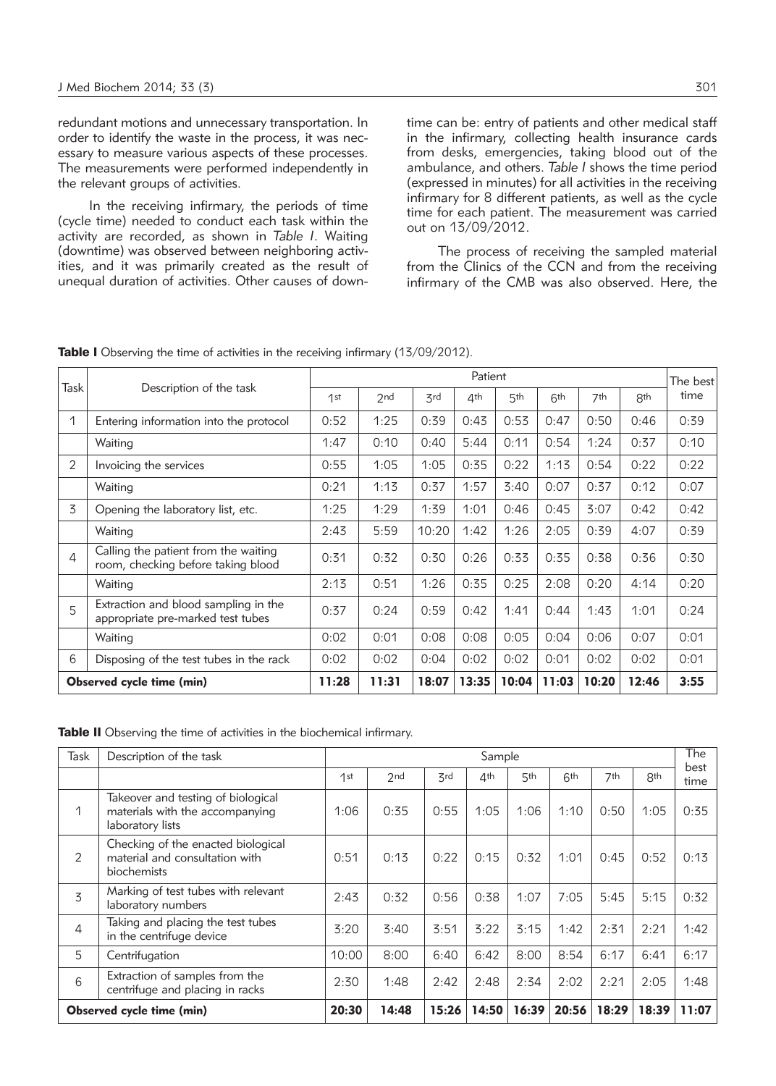redundant motions and unnecessary transportation. In order to identify the waste in the process, it was necessary to measure various aspects of these processes. The measurements were performed independently in the relevant groups of activities.

In the receiving infirmary, the periods of time (cycle time) needed to conduct each task within the activity are recorded, as shown in *Table I*. Waiting (downtime) was observed between neighboring activities, and it was primarily created as the result of unequal duration of activities. Other causes of downtime can be: entry of patients and other medical staff in the infirmary, collecting health insurance cards from desks, emergencies, taking blood out of the ambulance, and others. *Table I* shows the time period (expressed in minutes) for all activities in the receiving infirmary for 8 different patients, as well as the cycle time for each patient. The measurement was carried out on 13/09/2012.

The process of receiving the sampled material from the Clinics of the CCN and from the receiving infirmary of the CMB was also observed. Here, the

| <b>Table I</b> Observing the time of activities in the receiving infirmary (13/09/2012). |  |
|------------------------------------------------------------------------------------------|--|
|------------------------------------------------------------------------------------------|--|

| Task | Description of the task                                                    | Patient |                 |       |       |       |                 |       |            |      |
|------|----------------------------------------------------------------------------|---------|-----------------|-------|-------|-------|-----------------|-------|------------|------|
|      |                                                                            | 1st     | 2 <sub>nd</sub> | 3rd   | 4th   | 5th   | 6 <sup>th</sup> | 7th   | <b>Ath</b> | time |
| 1    | Entering information into the protocol                                     | 0:52    | 1:25            | 0:39  | 0:43  | 0:53  | 0:47            | 0:50  | 0:46       | 0:39 |
|      | Waiting                                                                    | 1:47    | 0:10            | 0:40  | 5:44  | 0:11  | 0:54            | 1:24  | 0:37       | 0:10 |
| 2    | Invoicing the services                                                     | 0:55    | 1:05            | 1:05  | 0:35  | 0:22  | 1:13            | 0:54  | 0:22       | 0:22 |
|      | Waiting                                                                    | 0:21    | 1:13            | 0:37  | 1:57  | 3:40  | 0:07            | 0:37  | 0:12       | 0:07 |
| 3    | Opening the laboratory list, etc.                                          | 1:25    | 1:29            | 1:39  | 1:01  | 0:46  | 0:45            | 3:07  | 0:42       | 0:42 |
|      | Waiting                                                                    | 2:43    | 5:59            | 10:20 | 1:42  | 1:26  | 2:05            | 0:39  | 4:07       | 0:39 |
| 4    | Calling the patient from the waiting<br>room, checking before taking blood | 0:31    | 0:32            | 0:30  | 0:26  | 0:33  | 0:35            | 0:38  | 0:36       | 0:30 |
|      | Waiting                                                                    | 2:13    | 0:51            | 1:26  | 0:35  | 0:25  | 2:08            | 0:20  | 4:14       | 0:20 |
| 5    | Extraction and blood sampling in the<br>appropriate pre-marked test tubes  | 0:37    | 0:24            | 0:59  | 0:42  | 1:41  | 0:44            | 1:43  | 1:01       | 0:24 |
|      | Waiting                                                                    | 0:02    | 0:01            | 0:08  | 0:08  | 0:05  | 0:04            | 0:06  | 0:07       | 0:01 |
| 6    | Disposing of the test tubes in the rack                                    | 0:02    | 0:02            | 0:04  | 0:02  | 0:02  | 0:01            | 0:02  | 0:02       | 0:01 |
|      | <b>Observed cycle time (min)</b>                                           | 11:28   | 11:31           | 18:07 | 13:35 | 10:04 | 11:03           | 10:20 | 12:46      | 3:55 |

Table II Observing the time of activities in the biochemical infirmary.

| Task                                                                                            | Description of the task                                                                   | Sample |                 |      |      |       |                 | The  |            |              |
|-------------------------------------------------------------------------------------------------|-------------------------------------------------------------------------------------------|--------|-----------------|------|------|-------|-----------------|------|------------|--------------|
|                                                                                                 |                                                                                           | 1st    | 2 <sub>nd</sub> | 3rd  | 4th  | 5th   | 6 <sup>th</sup> | 7th  | <b>8th</b> | best<br>time |
| 1                                                                                               | Takeover and testing of biological<br>materials with the accompanying<br>laboratory lists | 1:06   | 0:35            | 0:55 | 1:05 | 1:06  | 1:10            | 0:50 | 1:05       | 0:35         |
| 2                                                                                               | Checking of the enacted biological<br>material and consultation with<br>biochemists       | 0:51   | 0:13            | 0:22 | 0:15 | 0:32  | 1:01            | 0:45 | 0:52       | 0:13         |
| 3                                                                                               | Marking of test tubes with relevant<br>laboratory numbers                                 | 2:43   | 0:32            | 0:56 | 0:38 | 1:07  | 7:05            | 5:45 | 5:15       | 0:32         |
| $\overline{4}$                                                                                  | Taking and placing the test tubes<br>in the centrifuge device                             | 3:20   | 3:40            | 3:51 | 3:22 | 3:15  | 1:42            | 2:31 | 2:21       | 1:42         |
| 5                                                                                               | Centrifugation                                                                            | 10:00  | 8:00            | 6:40 | 6:42 | 8:00  | 8:54            | 6:17 | 6:41       | 6:17         |
| 6                                                                                               | Extraction of samples from the<br>centrifuge and placing in racks                         | 2:30   | 1:48            | 2:42 | 2:48 | 2:34  | 2:02            | 2:21 | 2:05       | 1:48         |
| 16:39<br>20:56<br>18:29<br>20:30<br>14:48<br>15:26<br>14:50<br><b>Observed cycle time (min)</b> |                                                                                           |        |                 |      |      | 18:39 | 11:07           |      |            |              |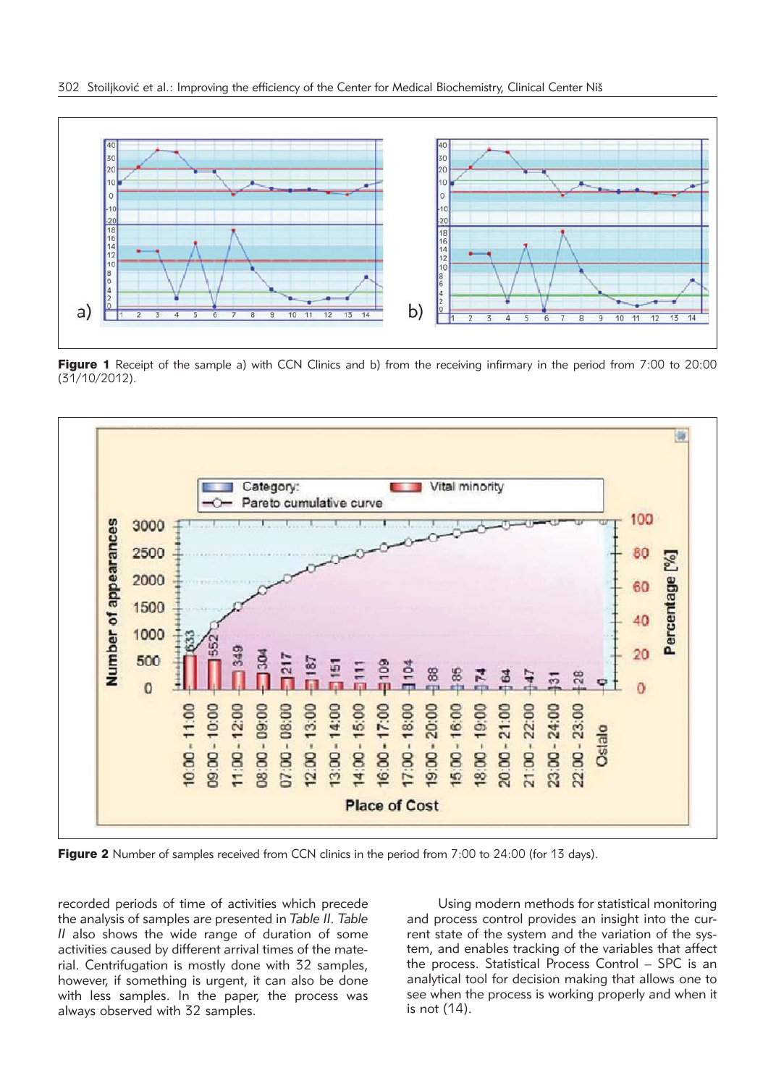

Figure 1 Receipt of the sample a) with CCN Clinics and b) from the receiving infirmary in the period from 7:00 to 20:00 (31/10/2012).



Figure 2 Number of samples received from CCN clinics in the period from 7:00 to 24:00 (for 13 days).

recorded periods of time of activities which precede the analysis of samples are presented in *Table II. Table* II also shows the wide range of duration of some activities caused by different arrival times of the material. Centrifugation is mostly done with 32 samples, however, if something is urgent, it can also be done with less samples. In the paper, the process was always observed with 32 samples.

Using modern methods for statistical monitoring and process control provides an insight into the current state of the system and the variation of the system, and enables tracking of the variables that affect the process. Statistical Process Control – SPC is an analytical tool for decision making that allows one to see when the process is working properly and when it is not (14).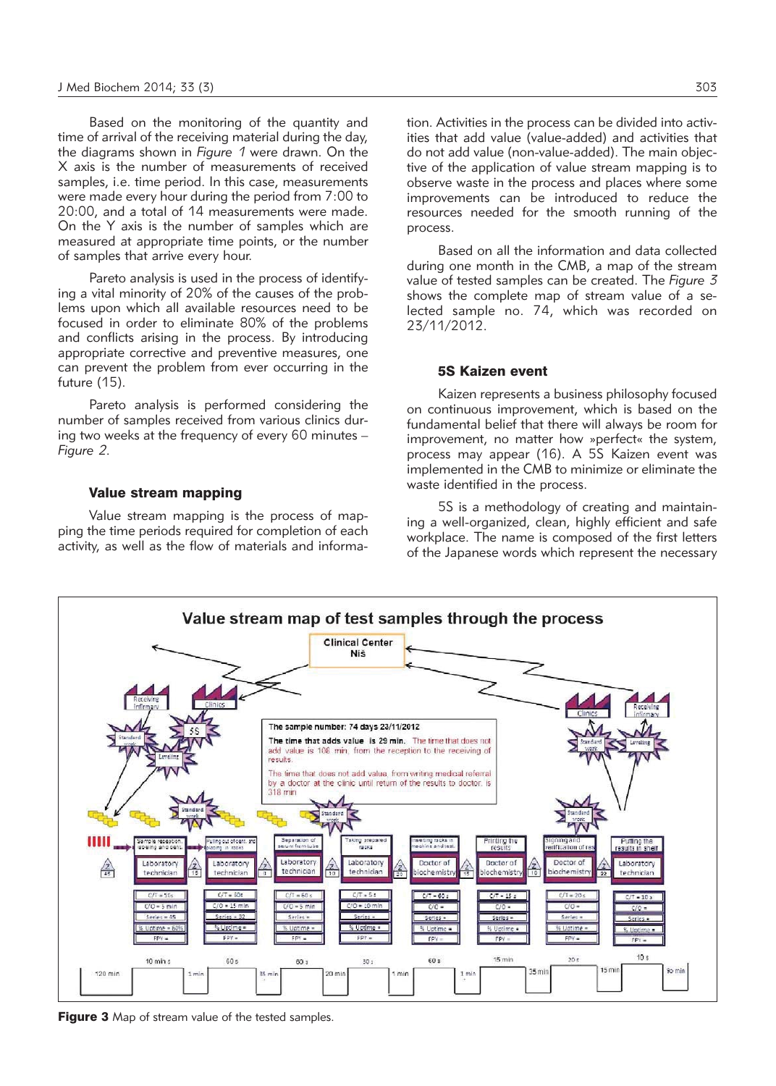Based on the monitoring of the quantity and time of arrival of the receiving material during the day, the diagrams shown in *Figure 1* were drawn. On the X axis is the number of measurements of received samples, i.e. time period. In this case, measurements were made every hour during the period from 7:00 to 20:00, and a total of 14 measurements were made. On the Y axis is the number of samples which are measured at appropriate time points, or the number of samples that arrive every hour.

Pareto analysis is used in the process of identifying a vital minority of 20% of the causes of the problems upon which all available resources need to be focused in order to eliminate 80% of the problems and conflicts arising in the process. By introducing appropriate corrective and preventive measures, one can prevent the problem from ever occurring in the future (15).

Pareto analysis is performed considering the number of samples received from various clinics during two weeks at the frequency of every  $60$  minutes  $-$ *Figure 2*.

## Value stream mapping

Value stream mapping is the process of mapping the time periods required for completion of each activity, as well as the flow of materials and informa-

Based on all the information and data collected during one month in the CMB, a map of the stream value of tested samples can be created. The *Figure 3* shows the complete map of stream value of a selected sample no. 74, which was recorded on 23/11/2012.

# 5S Kaizen event

process.

Kaizen represents a business philosophy focused on continuous improvement, which is based on the fundamental belief that there will always be room for improvement, no matter how »perfect« the system, process may appear (16). A 5S Kaizen event was implemented in the CMB to minimize or eliminate the waste identified in the process.

5S is a methodology of creating and maintaining a well-organized, clean, highly efficient and safe workplace. The name is composed of the first letters of the Japanese words which represent the necessary



Figure 3 Map of stream value of the tested samples.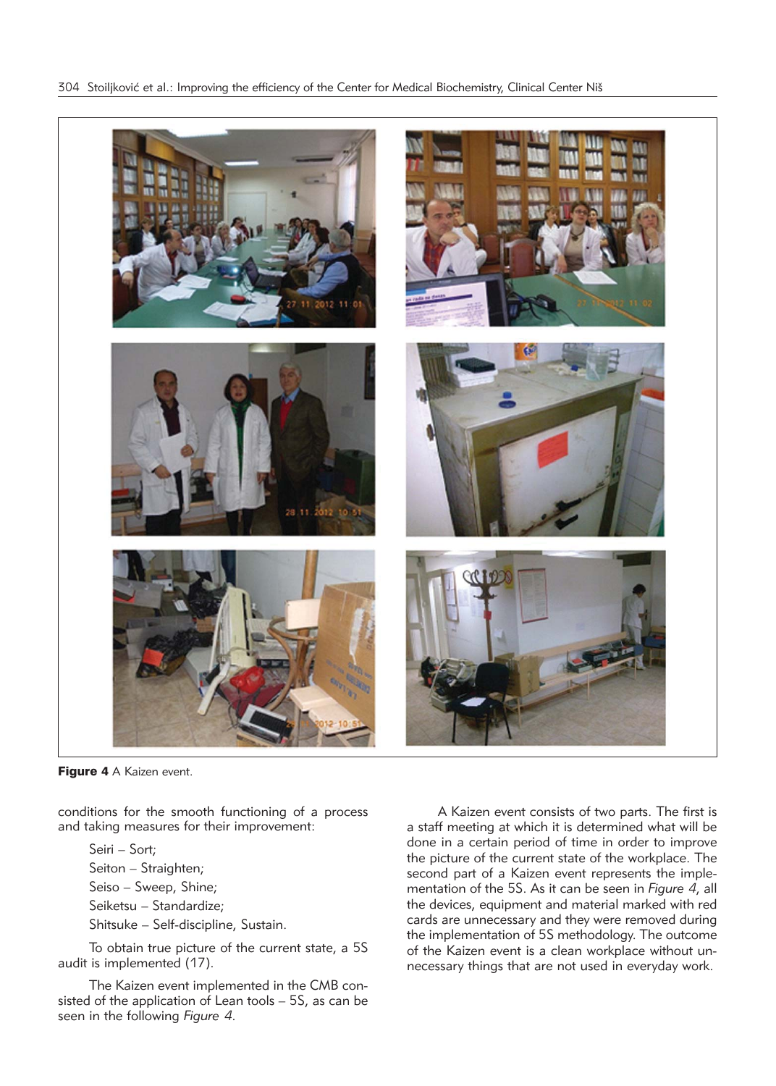

Figure 4 A Kaizen event.

conditions for the smooth functioning of a process and taking measures for their improvement:

Seiri – Sort; Seiton – Straighten; Seiso – Sweep, Shine; Seiketsu – Standardize; Shitsuke – Self-discipline, Sustain.

To obtain true picture of the current state, a 5S audit is implemented (17).

The Kaizen event implemented in the CMB consisted of the application of Lean tools – 5S, as can be seen in the following *Figure 4*.

A Kaizen event consists of two parts. The first is a staff meeting at which it is determined what will be done in a certain period of time in order to improve the picture of the current state of the workplace. The second part of a Kaizen event represents the implementation of the 5S. As it can be seen in *Figure 4*, all the devices, equipment and material marked with red cards are unnecessary and they were removed during the implementation of 5S methodology. The outcome of the Kaizen event is a clean workplace without unnecessary things that are not used in everyday work.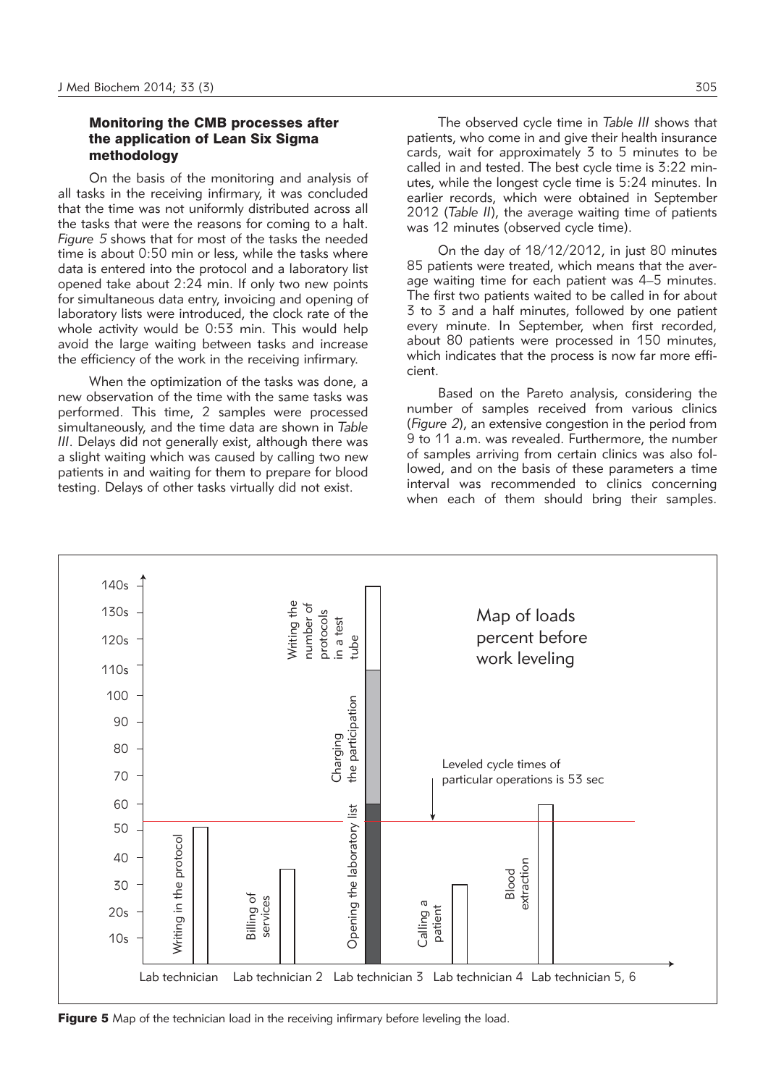# Monitoring the CMB processes after the application of Lean Six Sigma methodology

On the basis of the monitoring and analysis of all tasks in the receiving infirmary, it was concluded that the time was not uniformly distributed across all the tasks that were the reasons for coming to a halt. *Figure 5* shows that for most of the tasks the needed time is about 0:50 min or less, while the tasks where data is entered into the protocol and a laboratory list opened take about 2:24 min. If only two new points for simultaneous data entry, invoicing and opening of laboratory lists were introduced, the clock rate of the whole activity would be 0:53 min. This would help avoid the large waiting between tasks and increase the efficiency of the work in the receiving infirmary.

When the optimization of the tasks was done, a new observation of the time with the same tasks was performed. This time, 2 samples were processed simultaneously, and the time data are shown in *Table III*. Delays did not generally exist, although there was a slight waiting which was caused by calling two new patients in and waiting for them to prepare for blood testing. Delays of other tasks virtually did not exist.

The observed cycle time in *Table III* shows that patients, who come in and give their health insurance cards, wait for approximately 3 to 5 minutes to be called in and tested. The best cycle time is 3:22 minutes, while the longest cycle time is 5:24 minutes. In earlier records, which were obtained in September 2012 (*Table II*), the average waiting time of patients was 12 minutes (observed cycle time).

On the day of 18/12/2012, in just 80 minutes 85 patients were treated, which means that the average waiting time for each patient was 4–5 minutes. The first two patients waited to be called in for about 3 to 3 and a half minutes, followed by one patient every minute. In September, when first recorded, about 80 patients were processed in 150 minutes, which indicates that the process is now far more efficient.

Based on the Pareto analysis, considering the number of samples received from various clinics (*Figure 2*), an extensive congestion in the period from 9 to 11 a.m. was revealed. Furthermore, the number of samples arriving from certain clinics was also followed, and on the basis of these parameters a time interval was recommended to clinics concerning when each of them should bring their samples.



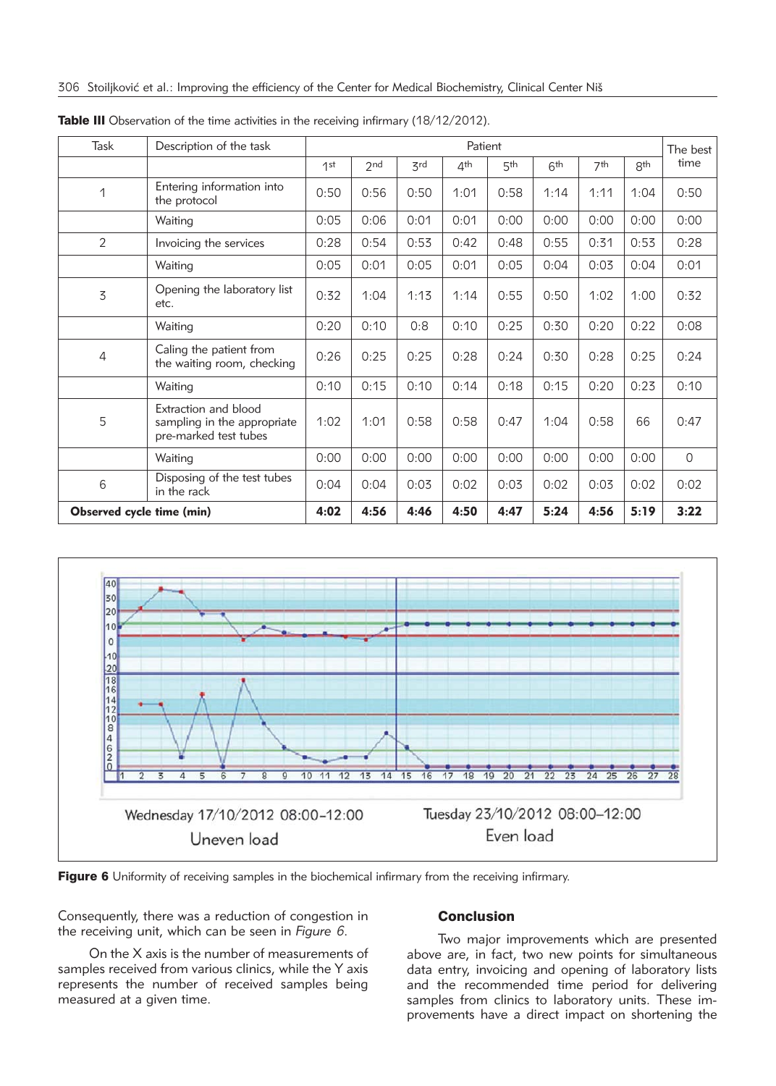| Task                             | Description of the task                                                      | Patient         |                 |      |                 |                 |                 |      | The best        |              |
|----------------------------------|------------------------------------------------------------------------------|-----------------|-----------------|------|-----------------|-----------------|-----------------|------|-----------------|--------------|
|                                  |                                                                              | 1 <sup>st</sup> | 2 <sub>nd</sub> | 3rd  | 4 <sup>th</sup> | 5 <sup>th</sup> | 6 <sup>th</sup> | 7th  | 8 <sup>th</sup> | time         |
| 1                                | Entering information into<br>the protocol                                    | 0:50            | 0:56            | 0:50 | 1:01            | 0:58            | 1:14            | 1:11 | 1:04            | 0:50         |
|                                  | Waiting                                                                      | 0:05            | 0:06            | 0:01 | 0:01            | 0:00            | 0:00            | 0:00 | 0:00            | 0:00         |
| $\overline{2}$                   | Invoicing the services                                                       | 0:28            | 0:54            | 0:53 | 0:42            | 0:48            | 0:55            | 0:31 | 0:53            | 0:28         |
|                                  | Waiting                                                                      | 0:05            | 0:01            | 0:05 | 0:01            | 0:05            | 0:04            | 0:03 | 0:04            | 0:01         |
| 3                                | Opening the laboratory list<br>etc.                                          | 0:32            | 1:04            | 1:13 | 1:14            | 0:55            | 0:50            | 1:02 | 1:00            | 0:32         |
|                                  | Waiting                                                                      | 0:20            | 0:10            | 0:8  | 0:10            | 0:25            | 0:30            | 0:20 | 0:22            | 0:08         |
| 4                                | Caling the patient from<br>the waiting room, checking                        | 0:26            | 0:25            | 0:25 | 0:28            | 0:24            | 0:30            | 0:28 | 0:25            | 0:24         |
|                                  | Waiting                                                                      | 0:10            | 0:15            | 0:10 | 0:14            | 0:18            | 0:15            | 0:20 | 0:23            | 0:10         |
| 5                                | Extraction and blood<br>sampling in the appropriate<br>pre-marked test tubes | 1:02            | 1:01            | 0:58 | 0:58            | 0:47            | 1:04            | 0:58 | 66              | 0:47         |
|                                  | Waiting                                                                      | 0:00            | 0:00            | 0:00 | 0:00            | 0:00            | 0:00            | 0:00 | 0:00            | $\mathsf{O}$ |
| 6                                | Disposing of the test tubes<br>in the rack                                   | 0:04            | 0:04            | 0:03 | 0:02            | 0:03            | 0:02            | 0:03 | 0:02            | 0:02         |
| <b>Observed cycle time (min)</b> | 4:02                                                                         | 4:56            | 4:46            | 4:50 | 4:47            | 5:24            | 4:56            | 5:19 | 3:22            |              |

Table III Observation of the time activities in the receiving infirmary (18/12/2012).



Figure 6 Uniformity of receiving samples in the biochemical infirmary from the receiving infirmary.

Consequently, there was a reduction of congestion in the receiving unit, which can be seen in *Figure 6*.

On the X axis is the number of measurements of samples received from various clinics, while the Y axis represents the number of received samples being measured at a given time.

## **Conclusion**

Two major improvements which are presented above are, in fact, two new points for simultaneous data entry, invoicing and opening of laboratory lists and the recommended time period for delivering samples from clinics to laboratory units. These improvements have a direct impact on shortening the